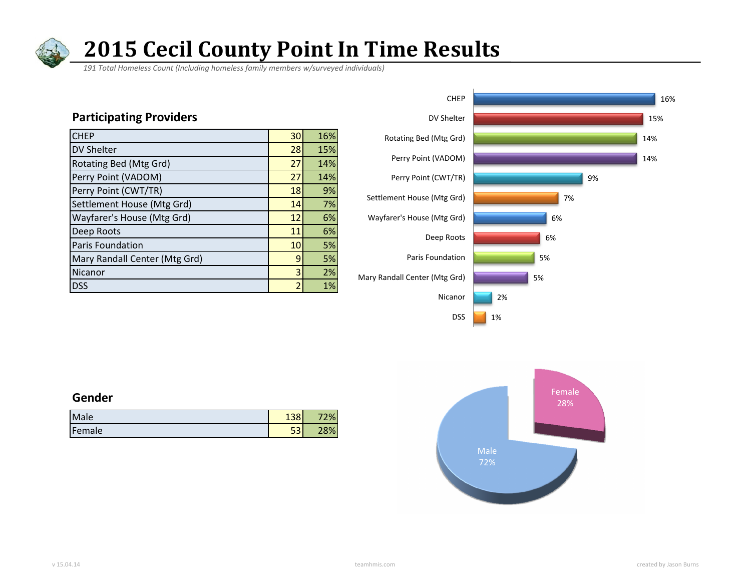

# **2015 Cecil County Point In Time Results**

 *191 Total Homeless Count (Including homeless family members w/surveyed individuals)*

### **Participating Providers**

| <b>CHEP</b>                   | 30 | 16% |
|-------------------------------|----|-----|
| <b>DV Shelter</b>             | 28 | 15% |
| Rotating Bed (Mtg Grd)        | 27 | 14% |
| Perry Point (VADOM)           | 27 | 14% |
| Perry Point (CWT/TR)          | 18 | 9%  |
| Settlement House (Mtg Grd)    | 14 | 7%  |
| Wayfarer's House (Mtg Grd)    | 12 | 6%  |
| Deep Roots                    | 11 | 6%  |
| Paris Foundation              | 10 | 5%  |
| Mary Randall Center (Mtg Grd) | 9  | 5%  |
| Nicanor                       | 3  | 2%  |
| <b>DSS</b>                    | 2  | 1%  |



#### **Gender**

| Male   | $\sim$     | $\%$ |
|--------|------------|------|
| Female | $ -$<br>၁၁ | 28%  |

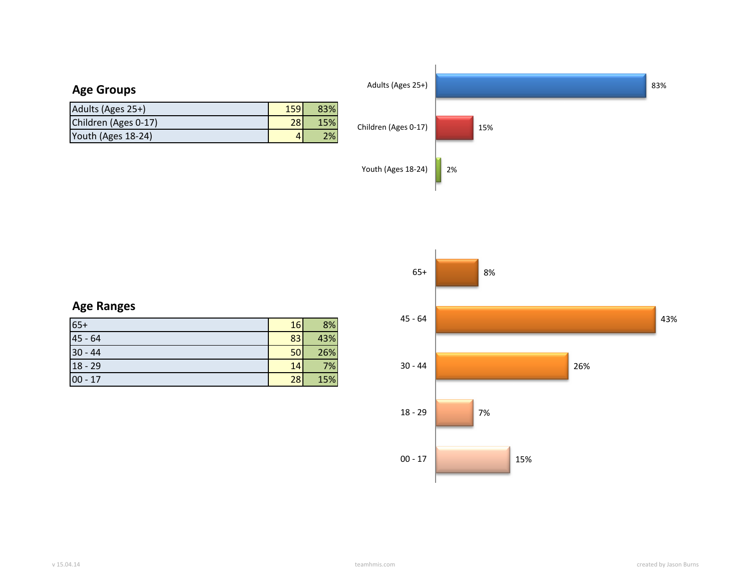

|  | <b>Age Ranges</b> |
|--|-------------------|
|--|-------------------|

| $65+$     | 16 | 8%  |
|-----------|----|-----|
| $45 - 64$ | 83 | 43% |
| $30 - 44$ | 50 | 26% |
| $18 - 29$ | 14 | 7%  |
| $00 - 17$ | 28 | 15% |

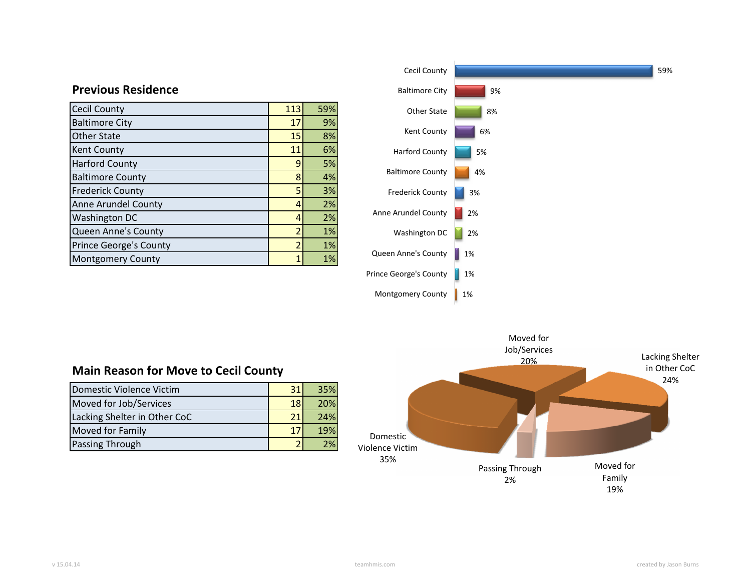| <b>Cecil County</b>           | 113            | 59% |
|-------------------------------|----------------|-----|
| <b>Baltimore City</b>         | 17             | 9%  |
| <b>Other State</b>            | 15             | 8%  |
| <b>Kent County</b>            | 11             | 6%  |
| <b>Harford County</b>         | 9              | 5%  |
| <b>Baltimore County</b>       | 8              | 4%  |
| <b>Frederick County</b>       | 5              | 3%  |
| <b>Anne Arundel County</b>    | 4              | 2%  |
| <b>Washington DC</b>          | 4              | 2%  |
| Queen Anne's County           | $\overline{2}$ | 1%  |
| <b>Prince George's County</b> | $\overline{2}$ | 1%  |
| <b>Montgomery County</b>      | 1              | 1%  |

**Previous Residence**



# **Main Reason for Move to Cecil County**

| Domestic Violence Victim     |                 | 35%        |
|------------------------------|-----------------|------------|
| Moved for Job/Services       | 18 <sup>l</sup> | <b>20%</b> |
| Lacking Shelter in Other CoC | 21              | 24%        |
| <b>Moved for Family</b>      |                 | 19%        |
| Passing Through              |                 | 2%         |

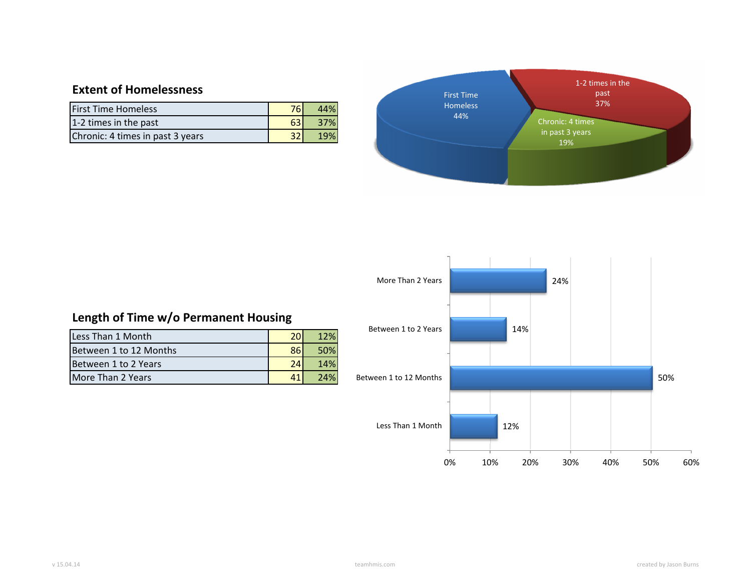# **Extent of Homelessness**

| <b>First Time Homeless</b>       | 761 | 44% |
|----------------------------------|-----|-----|
| 1-2 times in the past            |     | 37% |
| Chronic: 4 times in past 3 years |     | 19% |





# **Length of Time w/o Permanent Housing**

| Less Than 1 Month        |    | 12% |
|--------------------------|----|-----|
| Between 1 to 12 Months   | 86 | 50% |
| Between 1 to 2 Years     |    | 14% |
| <b>More Than 2 Years</b> |    | 24% |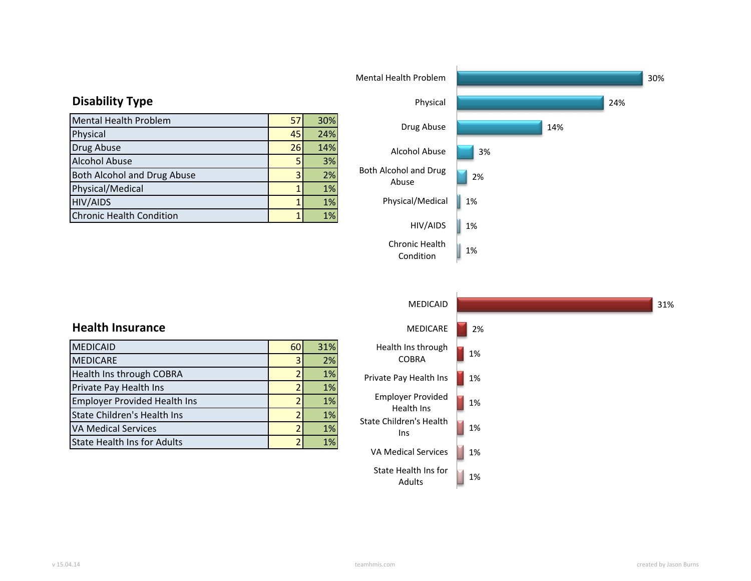|                                    |    |     | <u> IVICHLAI HCAILITT I UDICIH</u> |    |
|------------------------------------|----|-----|------------------------------------|----|
| <b>Disability Type</b>             |    |     | Physical                           |    |
| <b>Mental Health Problem</b>       | 57 | 30% |                                    |    |
| Physical                           | 45 | 24% | Drug Abuse                         |    |
| Drug Abuse                         | 26 | 14% | Alcohol Abuse                      | 3% |
| <b>Alcohol Abuse</b>               |    | 3%  |                                    |    |
| <b>Both Alcohol and Drug Abuse</b> |    | 2%  | Both Alcohol and Drug<br>Abuse     | 2% |
| Physical/Medical                   |    | 1%  |                                    |    |
| <b>HIV/AIDS</b>                    |    | 1%  | Physical/Medical                   | 1% |
| <b>Chronic Health Condition</b>    |    | 1%  |                                    |    |
|                                    |    |     | <b>HIV/AIDS</b>                    | 1% |



|                                     |    |     | <b>MEDICAID</b>                 | 31% |
|-------------------------------------|----|-----|---------------------------------|-----|
| <b>Health Insurance</b>             |    |     | <b>MEDICARE</b>                 | 2%  |
| <b>MEDICAID</b>                     | 60 | 31% | Health Ins through              |     |
| <b>MEDICARE</b>                     | 31 | 2%  | <b>COBRA</b>                    | 1%  |
| Health Ins through COBRA            |    | 1%  | Private Pay Health Ins          | 1%  |
| Private Pay Health Ins              |    | 1%  |                                 |     |
| <b>Employer Provided Health Ins</b> |    | 1%  | <b>Employer Provided</b>        | 1%  |
| <b>State Children's Health Ins</b>  |    | 1%  | Health Ins                      |     |
| <b>VA Medical Services</b>          |    | 1%  | State Children's Health<br>lns. | 1%  |
| <b>State Health Ins for Adults</b>  |    | 1%  |                                 |     |
|                                     |    |     | VA Medical Services             | 1%  |
|                                     |    |     | State Health Ins for<br>Adults  | 1%  |

v 15.04.14 teamhmis.com created by Jason Burns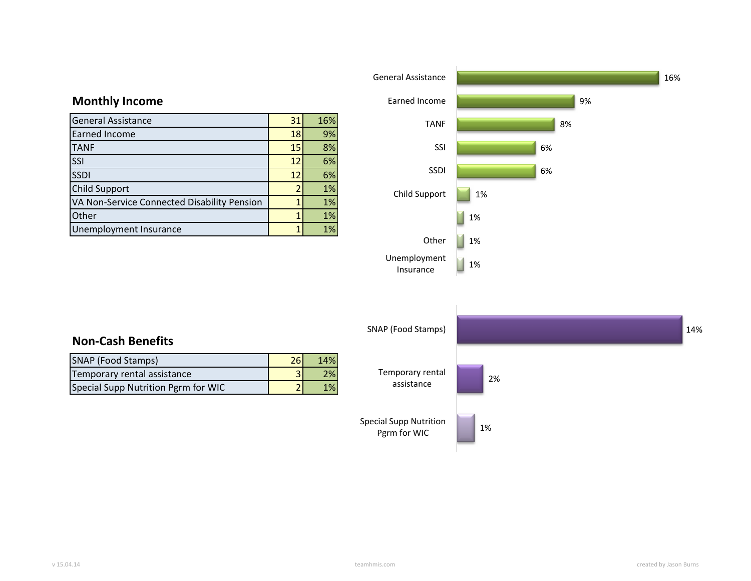



Insurance

# **Monthly Income**

| <b>General Assistance</b>                   | 31           | 16% |
|---------------------------------------------|--------------|-----|
| <b>Earned Income</b>                        | 18           | 9%  |
| <b>TANF</b>                                 | 15           | 8%  |
| SSI                                         | 12           | 6%  |
| <b>SSDI</b>                                 | 12           | 6%  |
| <b>Child Support</b>                        |              | 1%  |
| VA Non-Service Connected Disability Pension |              | 1%  |
| Other                                       | 1            | 1%  |
| Unemployment Insurance                      | $\mathbf{1}$ | 1%  |

16%

9%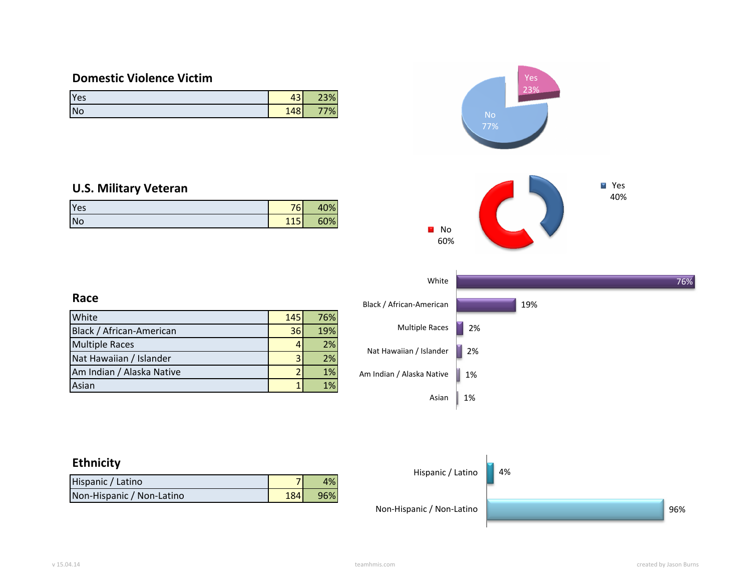# **Domestic Violence Victim**

| Yes | $\sim$<br>431 | 23% |
|-----|---------------|-----|
| No  | 148           | 7%  |

### **U.S. Military Veteran**

| Yes       | 76  | 40% |
|-----------|-----|-----|
| <b>No</b> | 115 | 60% |



# **Race**

| White                     | <b>145</b> | 76% |
|---------------------------|------------|-----|
| Black / African-American  | 36         | 19% |
| <b>Multiple Races</b>     |            | 2%  |
| Nat Hawaiian / Islander   |            | 2%  |
| Am Indian / Alaska Native |            | 1%  |
| Asian                     |            | 1%  |

# **Ethnicity**

| Hispanic / Latino         |             | 1% |
|---------------------------|-------------|----|
| Non-Hispanic / Non-Latino | <b>1841</b> |    |